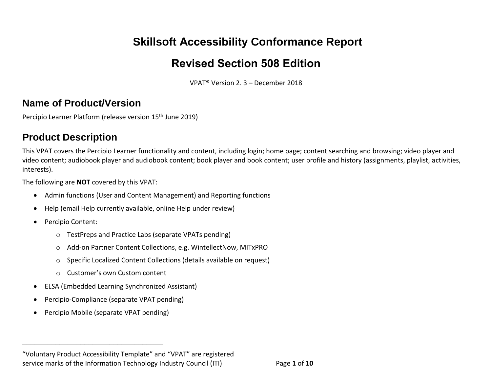# **Skillsoft Accessibility Conformance Report**

# **Revised Section 508 Edition**

VPAT® Version 2. 3 – December 2018

### **Name of Product/Version**

Percipio Learner Platform (release version 15<sup>th</sup> June 2019)

### **Product Description**

This VPAT covers the Percipio Learner functionality and content, including login; home page; content searching and browsing; video player and video content; audiobook player and audiobook content; book player and book content; user profile and history (assignments, playlist, activities, interests).

The following are **NOT** covered by this VPAT:

- Admin functions (User and Content Management) and Reporting functions
- Help (email Help currently available, online Help under review)
- Percipio Content:
	- o TestPreps and Practice Labs (separate VPATs pending)
	- o Add-on Partner Content Collections, e.g. WintellectNow, MITxPRO
	- o Specific Localized Content Collections (details available on request)
	- o Customer's own Custom content
- ELSA (Embedded Learning Synchronized Assistant)
- Percipio-Compliance (separate VPAT pending)
- Percipio Mobile (separate VPAT pending)

**\_\_\_\_\_\_\_\_\_\_\_\_\_\_\_\_\_\_\_\_\_\_\_\_\_\_\_\_\_\_\_\_\_\_**

<sup>&</sup>quot;Voluntary Product Accessibility Template" and "VPAT" are registered service marks of the Information Technology Industry Council (ITI) Page **1** of **10**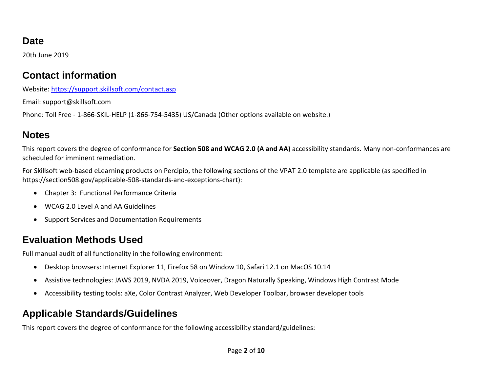### **Date**

20th June 2019

### **Contact information**

Website:<https://support.skillsoft.com/contact.asp>

Email: support@skillsoft.com

Phone: Toll Free - 1-866-SKIL-HELP (1-866-754-5435) US/Canada (Other options available on website.)

# **Notes**

This report covers the degree of conformance for **Section 508 and WCAG 2.0 (A and AA)** accessibility standards. Many non-conformances are scheduled for imminent remediation.

For Skillsoft web-based eLearning products on Percipio, the following sections of the VPAT 2.0 template are applicable (as specified in https://section508.gov/applicable-508-standards-and-exceptions-chart):

- Chapter 3: Functional Performance Criteria
- WCAG 2.0 Level A and AA Guidelines
- Support Services and Documentation Requirements

# **Evaluation Methods Used**

Full manual audit of all functionality in the following environment:

- Desktop browsers: Internet Explorer 11, Firefox 58 on Window 10, Safari 12.1 on MacOS 10.14
- Assistive technologies: JAWS 2019, NVDA 2019, Voiceover, Dragon Naturally Speaking, Windows High Contrast Mode
- Accessibility testing tools: aXe, Color Contrast Analyzer, Web Developer Toolbar, browser developer tools

# **Applicable Standards/Guidelines**

This report covers the degree of conformance for the following accessibility standard/guidelines: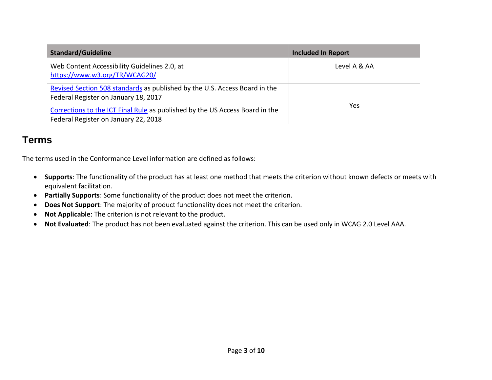| <b>Standard/Guideline</b>                                                                                            | <b>Included In Report</b> |
|----------------------------------------------------------------------------------------------------------------------|---------------------------|
| Web Content Accessibility Guidelines 2.0, at<br>https://www.w3.org/TR/WCAG20/                                        | Level A & AA              |
| Revised Section 508 standards as published by the U.S. Access Board in the<br>Federal Register on January 18, 2017   |                           |
| Corrections to the ICT Final Rule as published by the US Access Board in the<br>Federal Register on January 22, 2018 | Yes                       |

#### **Terms**

The terms used in the Conformance Level information are defined as follows:

- **Supports**: The functionality of the product has at least one method that meets the criterion without known defects or meets with equivalent facilitation.
- **Partially Supports**: Some functionality of the product does not meet the criterion.
- **Does Not Support**: The majority of product functionality does not meet the criterion.
- **Not Applicable**: The criterion is not relevant to the product.
- **Not Evaluated**: The product has not been evaluated against the criterion. This can be used only in WCAG 2.0 Level AAA.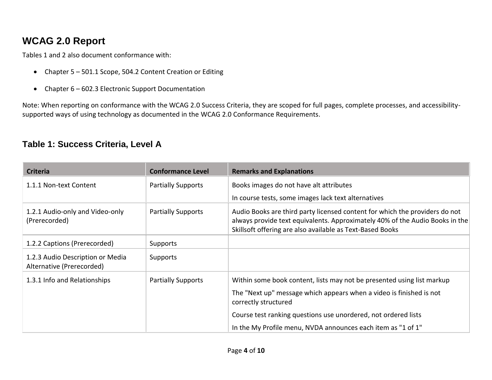### **WCAG 2.0 Report**

Tables 1 and 2 also document conformance with:

- Chapter 5 501.1 Scope, 504.2 Content Creation or Editing
- Chapter 6 602.3 Electronic Support Documentation

Note: When reporting on conformance with the WCAG 2.0 Success Criteria, they are scoped for full pages, complete processes, and accessibilitysupported ways of using technology as documented in the WCAG 2.0 [Conformance Requirements.](https://www.w3.org/TR/WCAG20/#conformance-reqs)

#### **Table 1: Success Criteria, Level A**

| <b>Criteria</b>                                               | <b>Conformance Level</b>  | <b>Remarks and Explanations</b>                                                                                                                                                                                          |
|---------------------------------------------------------------|---------------------------|--------------------------------------------------------------------------------------------------------------------------------------------------------------------------------------------------------------------------|
| 1.1.1 Non-text Content                                        | <b>Partially Supports</b> | Books images do not have alt attributes                                                                                                                                                                                  |
|                                                               |                           | In course tests, some images lack text alternatives                                                                                                                                                                      |
| 1.2.1 Audio-only and Video-only<br>(Prerecorded)              | <b>Partially Supports</b> | Audio Books are third party licensed content for which the providers do not<br>always provide text equivalents. Approximately 40% of the Audio Books in the<br>Skillsoft offering are also available as Text-Based Books |
| 1.2.2 Captions (Prerecorded)                                  | Supports                  |                                                                                                                                                                                                                          |
| 1.2.3 Audio Description or Media<br>Alternative (Prerecorded) | Supports                  |                                                                                                                                                                                                                          |
| 1.3.1 Info and Relationships                                  | <b>Partially Supports</b> | Within some book content, lists may not be presented using list markup                                                                                                                                                   |
|                                                               |                           | The "Next up" message which appears when a video is finished is not<br>correctly structured                                                                                                                              |
|                                                               |                           | Course test ranking questions use unordered, not ordered lists                                                                                                                                                           |
|                                                               |                           | In the My Profile menu, NVDA announces each item as "1 of 1"                                                                                                                                                             |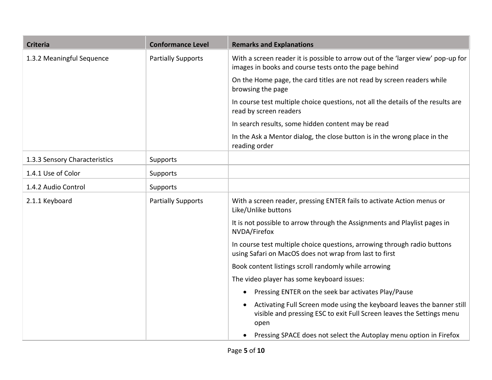| <b>Criteria</b>               | <b>Conformance Level</b>  | <b>Remarks and Explanations</b>                                                                                                                         |  |  |
|-------------------------------|---------------------------|---------------------------------------------------------------------------------------------------------------------------------------------------------|--|--|
| 1.3.2 Meaningful Sequence     | <b>Partially Supports</b> | With a screen reader it is possible to arrow out of the 'larger view' pop-up for<br>images in books and course tests onto the page behind               |  |  |
|                               |                           | On the Home page, the card titles are not read by screen readers while<br>browsing the page                                                             |  |  |
|                               |                           | In course test multiple choice questions, not all the details of the results are<br>read by screen readers                                              |  |  |
|                               |                           | In search results, some hidden content may be read                                                                                                      |  |  |
|                               |                           | In the Ask a Mentor dialog, the close button is in the wrong place in the<br>reading order                                                              |  |  |
| 1.3.3 Sensory Characteristics | Supports                  |                                                                                                                                                         |  |  |
| 1.4.1 Use of Color            | Supports                  |                                                                                                                                                         |  |  |
| 1.4.2 Audio Control           | Supports                  |                                                                                                                                                         |  |  |
| 2.1.1 Keyboard                | <b>Partially Supports</b> | With a screen reader, pressing ENTER fails to activate Action menus or<br>Like/Unlike buttons                                                           |  |  |
|                               |                           | It is not possible to arrow through the Assignments and Playlist pages in<br>NVDA/Firefox                                                               |  |  |
|                               |                           | In course test multiple choice questions, arrowing through radio buttons<br>using Safari on MacOS does not wrap from last to first                      |  |  |
|                               |                           | Book content listings scroll randomly while arrowing                                                                                                    |  |  |
|                               |                           | The video player has some keyboard issues:                                                                                                              |  |  |
|                               |                           | Pressing ENTER on the seek bar activates Play/Pause                                                                                                     |  |  |
|                               |                           | Activating Full Screen mode using the keyboard leaves the banner still<br>visible and pressing ESC to exit Full Screen leaves the Settings menu<br>open |  |  |
|                               |                           | Pressing SPACE does not select the Autoplay menu option in Firefox                                                                                      |  |  |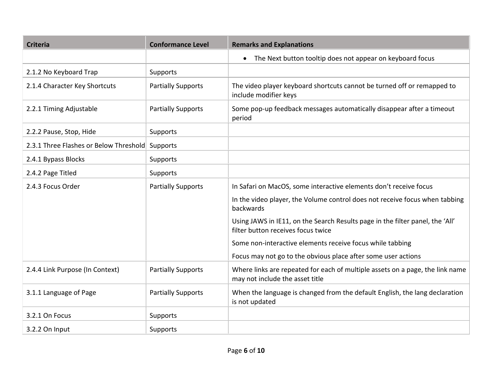| <b>Criteria</b>                        | <b>Conformance Level</b>  | <b>Remarks and Explanations</b>                                                                                     |  |
|----------------------------------------|---------------------------|---------------------------------------------------------------------------------------------------------------------|--|
|                                        |                           | • The Next button tooltip does not appear on keyboard focus                                                         |  |
| 2.1.2 No Keyboard Trap                 | Supports                  |                                                                                                                     |  |
| 2.1.4 Character Key Shortcuts          | <b>Partially Supports</b> | The video player keyboard shortcuts cannot be turned off or remapped to<br>include modifier keys                    |  |
| 2.2.1 Timing Adjustable                | <b>Partially Supports</b> | Some pop-up feedback messages automatically disappear after a timeout<br>period                                     |  |
| 2.2.2 Pause, Stop, Hide                | Supports                  |                                                                                                                     |  |
| 2.3.1 Three Flashes or Below Threshold | Supports                  |                                                                                                                     |  |
| 2.4.1 Bypass Blocks                    | Supports                  |                                                                                                                     |  |
| 2.4.2 Page Titled                      | Supports                  |                                                                                                                     |  |
| 2.4.3 Focus Order                      | <b>Partially Supports</b> | In Safari on MacOS, some interactive elements don't receive focus                                                   |  |
|                                        |                           | In the video player, the Volume control does not receive focus when tabbing<br>backwards                            |  |
|                                        |                           | Using JAWS in IE11, on the Search Results page in the filter panel, the 'All'<br>filter button receives focus twice |  |
|                                        |                           | Some non-interactive elements receive focus while tabbing                                                           |  |
|                                        |                           | Focus may not go to the obvious place after some user actions                                                       |  |
| 2.4.4 Link Purpose (In Context)        | <b>Partially Supports</b> | Where links are repeated for each of multiple assets on a page, the link name<br>may not include the asset title    |  |
| 3.1.1 Language of Page                 | <b>Partially Supports</b> | When the language is changed from the default English, the lang declaration<br>is not updated                       |  |
| 3.2.1 On Focus                         | Supports                  |                                                                                                                     |  |
| 3.2.2 On Input                         | Supports                  |                                                                                                                     |  |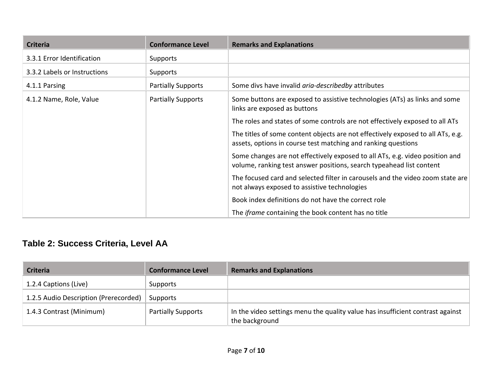| <b>Criteria</b>              | <b>Conformance Level</b>  | <b>Remarks and Explanations</b>                                                                                                                      |
|------------------------------|---------------------------|------------------------------------------------------------------------------------------------------------------------------------------------------|
| 3.3.1 Error Identification   | Supports                  |                                                                                                                                                      |
| 3.3.2 Labels or Instructions | <b>Supports</b>           |                                                                                                                                                      |
| 4.1.1 Parsing                | <b>Partially Supports</b> | Some divs have invalid aria-describedby attributes                                                                                                   |
| 4.1.2 Name, Role, Value      | <b>Partially Supports</b> | Some buttons are exposed to assistive technologies (ATs) as links and some<br>links are exposed as buttons                                           |
|                              |                           | The roles and states of some controls are not effectively exposed to all ATs                                                                         |
|                              |                           | The titles of some content objects are not effectively exposed to all ATs, e.g.<br>assets, options in course test matching and ranking questions     |
|                              |                           | Some changes are not effectively exposed to all ATs, e.g. video position and<br>volume, ranking test answer positions, search typeahead list content |
|                              |                           | The focused card and selected filter in carousels and the video zoom state are<br>not always exposed to assistive technologies                       |
|                              |                           | Book index definitions do not have the correct role                                                                                                  |
|                              |                           | The <i>iframe</i> containing the book content has no title                                                                                           |

### **Table 2: Success Criteria, Level AA**

| <b>Criteria</b>                       | <b>Conformance Level</b>  | <b>Remarks and Explanations</b>                                                                  |
|---------------------------------------|---------------------------|--------------------------------------------------------------------------------------------------|
| 1.2.4 Captions (Live)                 | Supports                  |                                                                                                  |
| 1.2.5 Audio Description (Prerecorded) | Supports                  |                                                                                                  |
| 1.4.3 Contrast (Minimum)              | <b>Partially Supports</b> | In the video settings menu the quality value has insufficient contrast against<br>the background |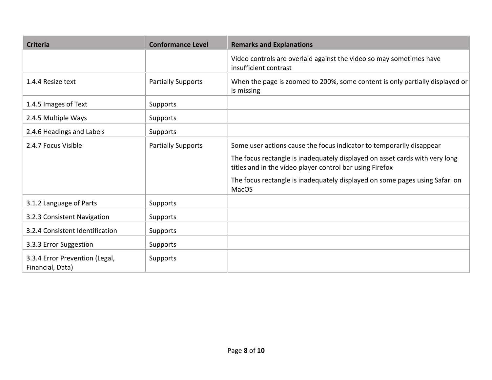| <b>Criteria</b>                                    | <b>Conformance Level</b>  | <b>Remarks and Explanations</b>                                                                                                         |
|----------------------------------------------------|---------------------------|-----------------------------------------------------------------------------------------------------------------------------------------|
|                                                    |                           | Video controls are overlaid against the video so may sometimes have<br>insufficient contrast                                            |
| 1.4.4 Resize text                                  | <b>Partially Supports</b> | When the page is zoomed to 200%, some content is only partially displayed or<br>is missing                                              |
| 1.4.5 Images of Text                               | Supports                  |                                                                                                                                         |
| 2.4.5 Multiple Ways                                | Supports                  |                                                                                                                                         |
| 2.4.6 Headings and Labels                          | Supports                  |                                                                                                                                         |
| 2.4.7 Focus Visible                                | <b>Partially Supports</b> | Some user actions cause the focus indicator to temporarily disappear                                                                    |
|                                                    |                           | The focus rectangle is inadequately displayed on asset cards with very long<br>titles and in the video player control bar using Firefox |
|                                                    |                           | The focus rectangle is inadequately displayed on some pages using Safari on<br><b>MacOS</b>                                             |
| 3.1.2 Language of Parts                            | Supports                  |                                                                                                                                         |
| 3.2.3 Consistent Navigation                        | Supports                  |                                                                                                                                         |
| 3.2.4 Consistent Identification                    | Supports                  |                                                                                                                                         |
| 3.3.3 Error Suggestion                             | Supports                  |                                                                                                                                         |
| 3.3.4 Error Prevention (Legal,<br>Financial, Data) | Supports                  |                                                                                                                                         |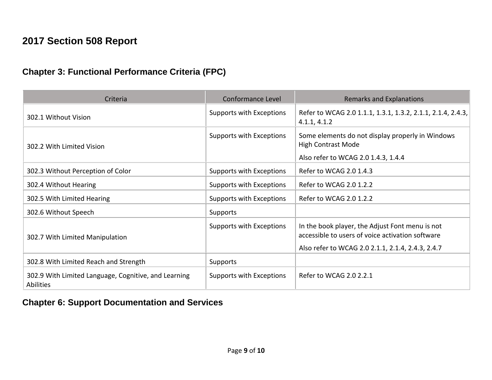# **2017 Section 508 Report**

### **Chapter 3: Functional Performance Criteria (FPC)**

| Criteria                                                                 | <b>Conformance Level</b> | <b>Remarks and Explanations</b>                                                                                                                          |
|--------------------------------------------------------------------------|--------------------------|----------------------------------------------------------------------------------------------------------------------------------------------------------|
| 302.1 Without Vision                                                     | Supports with Exceptions | Refer to WCAG 2.0 1.1.1, 1.3.1, 1.3.2, 2.1.1, 2.1.4, 2.4.3,<br>4.1.1, 4.1.2                                                                              |
| 302.2 With Limited Vision                                                | Supports with Exceptions | Some elements do not display properly in Windows<br><b>High Contrast Mode</b><br>Also refer to WCAG 2.0 1.4.3, 1.4.4                                     |
| 302.3 Without Perception of Color                                        | Supports with Exceptions | Refer to WCAG 2.0 1.4.3                                                                                                                                  |
| 302.4 Without Hearing                                                    | Supports with Exceptions | Refer to WCAG 2.0 1.2.2                                                                                                                                  |
| 302.5 With Limited Hearing                                               | Supports with Exceptions | Refer to WCAG 2.0 1.2.2                                                                                                                                  |
| 302.6 Without Speech                                                     | Supports                 |                                                                                                                                                          |
| 302.7 With Limited Manipulation                                          | Supports with Exceptions | In the book player, the Adjust Font menu is not<br>accessible to users of voice activation software<br>Also refer to WCAG 2.0 2.1.1, 2.1.4, 2.4.3, 2.4.7 |
| 302.8 With Limited Reach and Strength                                    | Supports                 |                                                                                                                                                          |
| 302.9 With Limited Language, Cognitive, and Learning<br><b>Abilities</b> | Supports with Exceptions | Refer to WCAG 2.0 2.2.1                                                                                                                                  |

#### **Chapter 6: Support Documentation and Services**